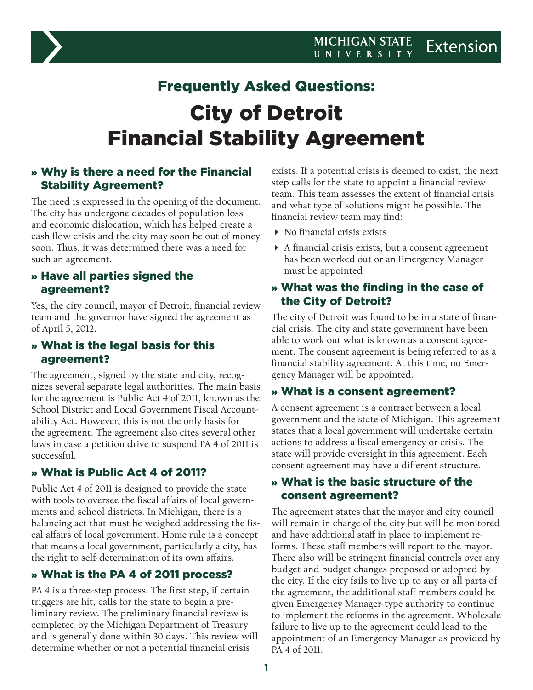

# Frequently Asked Questions: City of Detroit Financial Stability Agreement

## » Why is there a need for the Financial Stability Agreement?

The need is expressed in the opening of the document. The city has undergone decades of population loss and economic dislocation, which has helped create a cash flow crisis and the city may soon be out of money soon. Thus, it was determined there was a need for such an agreement.

#### » Have all parties signed the agreement?

Yes, the city council, mayor of Detroit, financial review team and the governor have signed the agreement as of April 5, 2012.

#### » What is the legal basis for this agreement?

The agreement, signed by the state and city, recognizes several separate legal authorities. The main basis for the agreement is Public Act 4 of 2011, known as the School District and Local Government Fiscal Accountability Act. However, this is not the only basis for the agreement. The agreement also cites several other laws in case a petition drive to suspend PA 4 of 2011 is successful.

# » What is Public Act 4 of 2011?

Public Act 4 of 2011 is designed to provide the state with tools to oversee the fiscal affairs of local governments and school districts. In Michigan, there is a balancing act that must be weighed addressing the fiscal affairs of local government. Home rule is a concept that means a local government, particularly a city, has the right to self-determination of its own affairs.

# » What is the PA 4 of 2011 process?

PA 4 is a three-step process. The first step, if certain triggers are hit, calls for the state to begin a preliminary review. The preliminary financial review is completed by the Michigan Department of Treasury and is generally done within 30 days. This review will determine whether or not a potential financial crisis

exists. If a potential crisis is deemed to exist, the next step calls for the state to appoint a financial review team. This team assesses the extent of financial crisis and what type of solutions might be possible. The financial review team may find:

- ▶ No financial crisis exists
- A financial crisis exists, but a consent agreement has been worked out or an Emergency Manager must be appointed

#### » What was the finding in the case of the City of Detroit?

The city of Detroit was found to be in a state of financial crisis. The city and state government have been able to work out what is known as a consent agreement. The consent agreement is being referred to as a financial stability agreement. At this time, no Emergency Manager will be appointed.

#### » What is a consent agreement?

A consent agreement is a contract between a local government and the state of Michigan. This agreement states that a local government will undertake certain actions to address a fiscal emergency or crisis. The state will provide oversight in this agreement. Each consent agreement may have a different structure.

#### » What is the basic structure of the consent agreement?

The agreement states that the mayor and city council will remain in charge of the city but will be monitored and have additional staff in place to implement reforms. These staff members will report to the mayor. There also will be stringent financial controls over any budget and budget changes proposed or adopted by the city. If the city fails to live up to any or all parts of the agreement, the additional staff members could be given Emergency Manager-type authority to continue to implement the reforms in the agreement. Wholesale failure to live up to the agreement could lead to the appointment of an Emergency Manager as provided by PA 4 of 2011.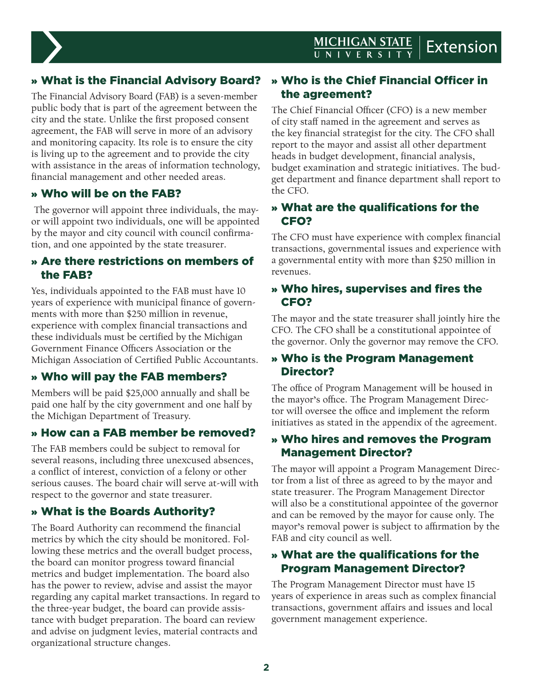

# » What is the Financial Advisory Board?

The Financial Advisory Board (FAB) is a seven-member public body that is part of the agreement between the city and the state. Unlike the first proposed consent agreement, the FAB will serve in more of an advisory and monitoring capacity. Its role is to ensure the city is living up to the agreement and to provide the city with assistance in the areas of information technology, financial management and other needed areas.

#### » Who will be on the FAB?

 The governor will appoint three individuals, the mayor will appoint two individuals, one will be appointed by the mayor and city council with council confirmation, and one appointed by the state treasurer.

#### » Are there restrictions on members of the FAB?

Yes, individuals appointed to the FAB must have 10 years of experience with municipal finance of governments with more than \$250 million in revenue, experience with complex financial transactions and these individuals must be certified by the Michigan Government Finance Officers Association or the Michigan Association of Certified Public Accountants.

# » Who will pay the FAB members?

Members will be paid \$25,000 annually and shall be paid one half by the city government and one half by the Michigan Department of Treasury.

## » How can a FAB member be removed?

The FAB members could be subject to removal for several reasons, including three unexcused absences, a conflict of interest, conviction of a felony or other serious causes. The board chair will serve at-will with respect to the governor and state treasurer.

## » What is the Boards Authority?

The Board Authority can recommend the financial metrics by which the city should be monitored. Following these metrics and the overall budget process, the board can monitor progress toward financial metrics and budget implementation. The board also has the power to review, advise and assist the mayor regarding any capital market transactions. In regard to the three-year budget, the board can provide assistance with budget preparation. The board can review and advise on judgment levies, material contracts and organizational structure changes.

## » Who is the Chief Financial Officer in the agreement?

The Chief Financial Officer (CFO) is a new member of city staff named in the agreement and serves as the key financial strategist for the city. The CFO shall report to the mayor and assist all other department heads in budget development, financial analysis, budget examination and strategic initiatives. The budget department and finance department shall report to the CFO.

#### » What are the qualifications for the CFO?

The CFO must have experience with complex financial transactions, governmental issues and experience with a governmental entity with more than \$250 million in revenues.

#### » Who hires, supervises and fires the CFO?

The mayor and the state treasurer shall jointly hire the CFO. The CFO shall be a constitutional appointee of the governor. Only the governor may remove the CFO.

#### » Who is the Program Management Director?

The office of Program Management will be housed in the mayor's office. The Program Management Director will oversee the office and implement the reform initiatives as stated in the appendix of the agreement.

#### » Who hires and removes the Program Management Director?

The mayor will appoint a Program Management Director from a list of three as agreed to by the mayor and state treasurer. The Program Management Director will also be a constitutional appointee of the governor and can be removed by the mayor for cause only. The mayor's removal power is subject to affirmation by the FAB and city council as well.

#### » What are the qualifications for the Program Management Director?

The Program Management Director must have 15 years of experience in areas such as complex financial transactions, government affairs and issues and local government management experience.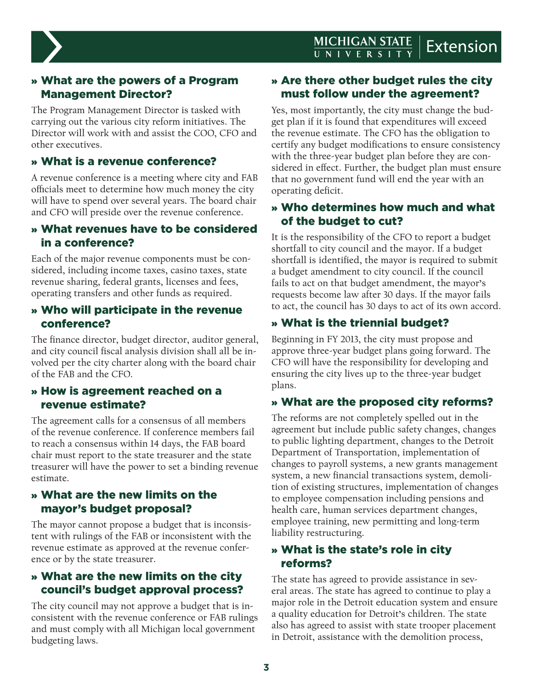

## » What are the powers of a Program Management Director?

The Program Management Director is tasked with carrying out the various city reform initiatives. The Director will work with and assist the COO, CFO and other executives.

## » What is a revenue conference?

A revenue conference is a meeting where city and FAB officials meet to determine how much money the city will have to spend over several years. The board chair and CFO will preside over the revenue conference.

#### » What revenues have to be considered in a conference?

Each of the major revenue components must be considered, including income taxes, casino taxes, state revenue sharing, federal grants, licenses and fees, operating transfers and other funds as required.

#### » Who will participate in the revenue conference?

The finance director, budget director, auditor general, and city council fiscal analysis division shall all be involved per the city charter along with the board chair of the FAB and the CFO.

#### » How is agreement reached on a revenue estimate?

The agreement calls for a consensus of all members of the revenue conference. If conference members fail to reach a consensus within 14 days, the FAB board chair must report to the state treasurer and the state treasurer will have the power to set a binding revenue estimate.

#### » What are the new limits on the mayor's budget proposal?

The mayor cannot propose a budget that is inconsistent with rulings of the FAB or inconsistent with the revenue estimate as approved at the revenue conference or by the state treasurer.

#### » What are the new limits on the city council's budget approval process?

The city council may not approve a budget that is inconsistent with the revenue conference or FAB rulings and must comply with all Michigan local government budgeting laws.

## » Are there other budget rules the city must follow under the agreement?

Yes, most importantly, the city must change the budget plan if it is found that expenditures will exceed the revenue estimate. The CFO has the obligation to certify any budget modifications to ensure consistency with the three-year budget plan before they are considered in effect. Further, the budget plan must ensure that no government fund will end the year with an operating deficit.

#### » Who determines how much and what of the budget to cut?

It is the responsibility of the CFO to report a budget shortfall to city council and the mayor. If a budget shortfall is identified, the mayor is required to submit a budget amendment to city council. If the council fails to act on that budget amendment, the mayor's requests become law after 30 days. If the mayor fails to act, the council has 30 days to act of its own accord.

## » What is the triennial budget?

Beginning in FY 2013, the city must propose and approve three-year budget plans going forward. The CFO will have the responsibility for developing and ensuring the city lives up to the three-year budget plans.

## » What are the proposed city reforms?

The reforms are not completely spelled out in the agreement but include public safety changes, changes to public lighting department, changes to the Detroit Department of Transportation, implementation of changes to payroll systems, a new grants management system, a new financial transactions system, demolition of existing structures, implementation of changes to employee compensation including pensions and health care, human services department changes, employee training, new permitting and long-term liability restructuring.

## » What is the state's role in city reforms?

The state has agreed to provide assistance in several areas. The state has agreed to continue to play a major role in the Detroit education system and ensure a quality education for Detroit's children. The state also has agreed to assist with state trooper placement in Detroit, assistance with the demolition process,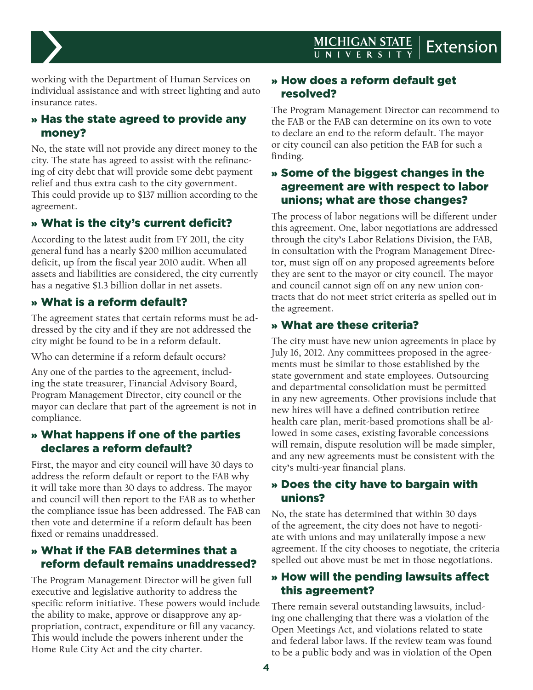

working with the Department of Human Services on individual assistance and with street lighting and auto insurance rates.

## » Has the state agreed to provide any money?

No, the state will not provide any direct money to the city. The state has agreed to assist with the refinancing of city debt that will provide some debt payment relief and thus extra cash to the city government. This could provide up to \$137 million according to the agreement.

## » What is the city's current deficit?

According to the latest audit from FY 2011, the city general fund has a nearly \$200 million accumulated deficit, up from the fiscal year 2010 audit. When all assets and liabilities are considered, the city currently has a negative \$1.3 billion dollar in net assets.

## » What is a reform default?

The agreement states that certain reforms must be addressed by the city and if they are not addressed the city might be found to be in a reform default.

Who can determine if a reform default occurs?

Any one of the parties to the agreement, including the state treasurer, Financial Advisory Board, Program Management Director, city council or the mayor can declare that part of the agreement is not in compliance.

#### » What happens if one of the parties declares a reform default?

First, the mayor and city council will have 30 days to address the reform default or report to the FAB why it will take more than 30 days to address. The mayor and council will then report to the FAB as to whether the compliance issue has been addressed. The FAB can then vote and determine if a reform default has been fixed or remains unaddressed.

## » What if the FAB determines that a reform default remains unaddressed?

The Program Management Director will be given full executive and legislative authority to address the specific reform initiative. These powers would include the ability to make, approve or disapprove any appropriation, contract, expenditure or fill any vacancy. This would include the powers inherent under the Home Rule City Act and the city charter.

## » How does a reform default get resolved?

The Program Management Director can recommend to the FAB or the FAB can determine on its own to vote to declare an end to the reform default. The mayor or city council can also petition the FAB for such a finding.

#### » Some of the biggest changes in the agreement are with respect to labor unions; what are those changes?

The process of labor negations will be different under this agreement. One, labor negotiations are addressed through the city's Labor Relations Division, the FAB, in consultation with the Program Management Director, must sign off on any proposed agreements before they are sent to the mayor or city council. The mayor and council cannot sign off on any new union contracts that do not meet strict criteria as spelled out in the agreement.

## » What are these criteria?

The city must have new union agreements in place by July 16, 2012. Any committees proposed in the agreements must be similar to those established by the state government and state employees. Outsourcing and departmental consolidation must be permitted in any new agreements. Other provisions include that new hires will have a defined contribution retiree health care plan, merit-based promotions shall be allowed in some cases, existing favorable concessions will remain, dispute resolution will be made simpler, and any new agreements must be consistent with the city's multi-year financial plans.

#### » Does the city have to bargain with unions?

No, the state has determined that within 30 days of the agreement, the city does not have to negotiate with unions and may unilaterally impose a new agreement. If the city chooses to negotiate, the criteria spelled out above must be met in those negotiations.

#### » How will the pending lawsuits affect this agreement?

There remain several outstanding lawsuits, including one challenging that there was a violation of the Open Meetings Act, and violations related to state and federal labor laws. If the review team was found to be a public body and was in violation of the Open